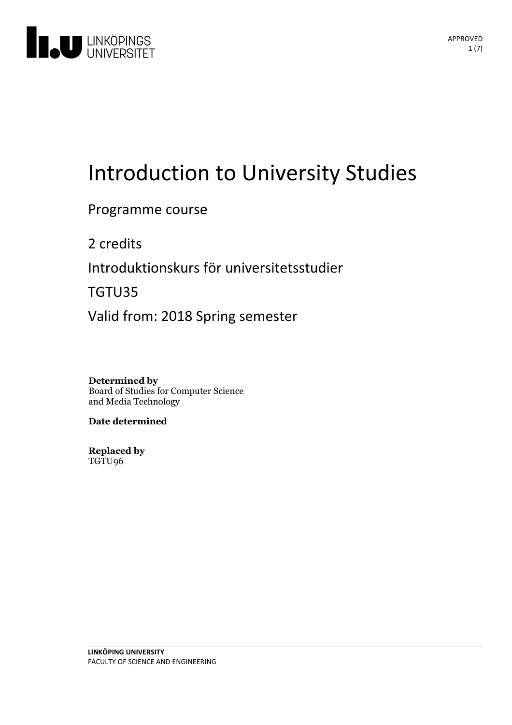

# Introduction to University Studies

Programme course

2 credits

Introduktionskurs för universitetsstudier

TGTU35

Valid from: 2018 Spring semester

**Determined by**

Board of Studies for Computer Science and Media Technology

**Date determined**

**Replaced by** TGTU96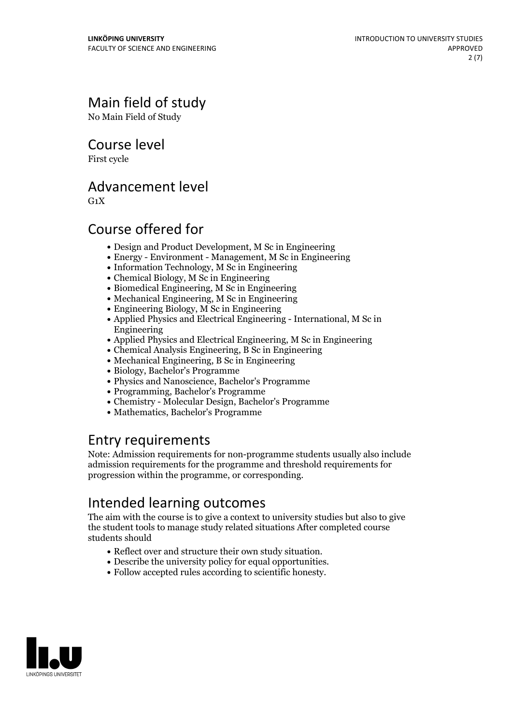# Main field of study

No Main Field of Study

Course level

First cycle

## Advancement level

 $G_1X$ 

## Course offered for

- Design and Product Development, M Sc in Engineering
- Energy Environment Management, M Sc in Engineering
- Information Technology, M Sc in Engineering
- Chemical Biology, M Sc in Engineering
- Biomedical Engineering, M Sc in Engineering
- Mechanical Engineering, M Sc in Engineering
- $\bullet$  Engineering Biology, M Sc in Engineering
- Applied Physics and Electrical Engineering International, M Sc in Engineering
- Applied Physics and Electrical Engineering, M Sc in Engineering
- Chemical Analysis Engineering, B Sc in Engineering
- Mechanical Engineering, B Sc in Engineering
- Biology, Bachelor's Programme
- Physics and Nanoscience, Bachelor's Programme
- Programming, Bachelor's Programme
- Chemistry Molecular Design, Bachelor's Programme
- Mathematics, Bachelor's Programme

## Entry requirements

Note: Admission requirements for non-programme students usually also include admission requirements for the programme and threshold requirements for progression within the programme, or corresponding.

# Intended learning outcomes

The aim with the course is to give a context to university studies but also to give the student tools to manage study related situations After completed course students should

- 
- Reflect over and structure their own study situation. Describe the university policy for equal opportunities. Follow accepted rules according to scientific honesty.
- 

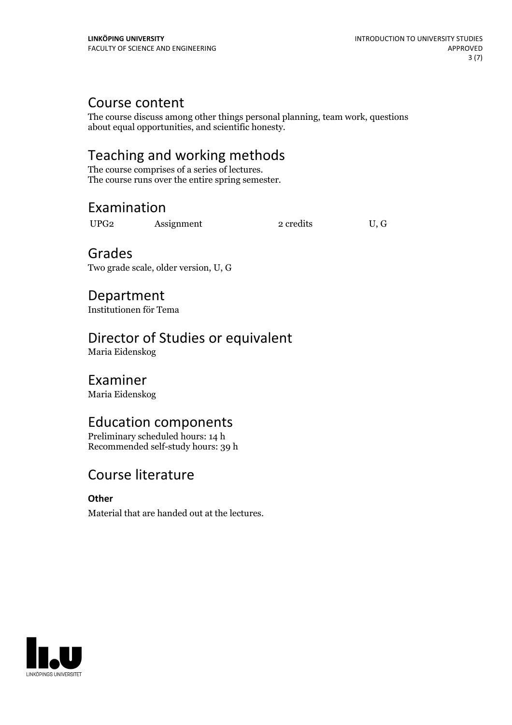## Course content

The course discuss among other things personal planning, team work, questions about equal opportunities, and scientific honesty.

# Teaching and working methods<br>The course comprises of a series of lectures.

The course runs over the entire spring semester.

# Examination

UPG2 Assignment 2 credits U, G

# Grades

Two grade scale, older version, U, G

# Department

Institutionen för Tema

# Director of Studies or equivalent

Maria Eidenskog

## Examiner

Maria Eidenskog

## Education components

Preliminary scheduled hours: 14 h Recommended self-study hours: 39 h

# Course literature

## **Other**

Material that are handed out at the lectures.

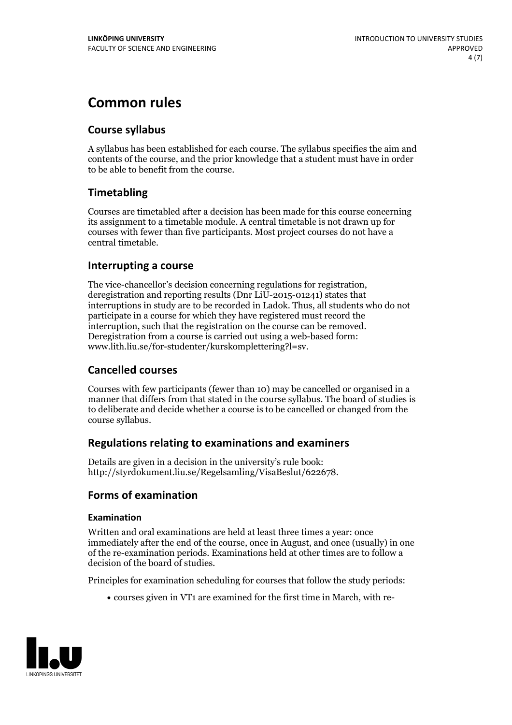## **Common rules**

## **Course syllabus**

A syllabus has been established for each course. The syllabus specifies the aim and contents of the course, and the prior knowledge that a student must have in order to be able to benefit from the course.

## **Timetabling**

Courses are timetabled after a decision has been made for this course concerning its assignment to a timetable module. A central timetable is not drawn up for courses with fewer than five participants. Most project courses do not have a central timetable.

### **Interrupting a course**

The vice-chancellor's decision concerning regulations for registration, deregistration and reporting results (Dnr LiU-2015-01241) states that interruptions in study are to be recorded in Ladok. Thus, all students who do not participate in a course for which they have registered must record the interruption, such that the registration on the course can be removed. Deregistration from <sup>a</sup> course is carried outusing <sup>a</sup> web-based form: www.lith.liu.se/for-studenter/kurskomplettering?l=sv.

## **Cancelled courses**

Courses with few participants (fewer than 10) may be cancelled or organised in a manner that differs from that stated in the course syllabus. The board of studies is to deliberate and decide whether a course is to be cancelled orchanged from the course syllabus.

## **Regulations relatingto examinations and examiners**

Details are given in a decision in the university's rule book: http://styrdokument.liu.se/Regelsamling/VisaBeslut/622678.

## **Forms of examination**

#### **Examination**

Written and oral examinations are held at least three times a year: once immediately after the end of the course, once in August, and once (usually) in one of the re-examination periods. Examinations held at other times are to follow a decision of the board of studies.

Principles for examination scheduling for courses that follow the study periods:

courses given in VT1 are examined for the first time in March, with re-

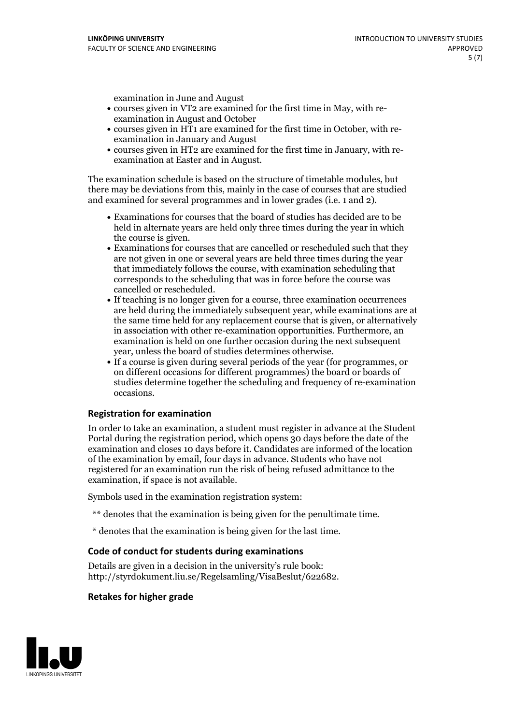examination in June and August

- courses given in VT2 are examined for the first time in May, with re-examination in August and October
- courses given in HT1 are examined for the first time in October, with re-examination in January and August
- courses given in HT2 are examined for the first time in January, with re-examination at Easter and in August.

The examination schedule is based on the structure of timetable modules, but there may be deviations from this, mainly in the case of courses that are studied and examined for several programmes and in lower grades (i.e. 1 and 2).

- Examinations for courses that the board of studies has decided are to be held in alternate years are held only three times during the year in which
- the course is given.<br>• Examinations for courses that are cancelled or rescheduled such that they are not given in one or several years are held three times during the year that immediately follows the course, with examination scheduling that corresponds to the scheduling that was in force before the course was cancelled or rescheduled.<br>• If teaching is no longer given for a course, three examination occurrences
- are held during the immediately subsequent year, while examinations are at the same time held for any replacement course that is given, or alternatively in association with other re-examination opportunities. Furthermore, an examination is held on one further occasion during the next subsequent year, unless the board of studies determines otherwise.<br>• If a course is given during several periods of the year (for programmes, or
- on different occasions for different programmes) the board orboards of studies determine together the scheduling and frequency of re-examination occasions.

#### **Registration for examination**

In order to take an examination, a student must register in advance at the Student Portal during the registration period, which opens 30 days before the date of the examination and closes 10 days before it. Candidates are informed of the location of the examination by email, four days in advance. Students who have not registered for an examination run the risk of being refused admittance to the examination, if space is not available.

Symbols used in the examination registration system:

- \*\* denotes that the examination is being given for the penultimate time.
- \* denotes that the examination is being given for the last time.

#### **Code of conduct for students during examinations**

Details are given in a decision in the university's rule book: http://styrdokument.liu.se/Regelsamling/VisaBeslut/622682.

#### **Retakes for higher grade**

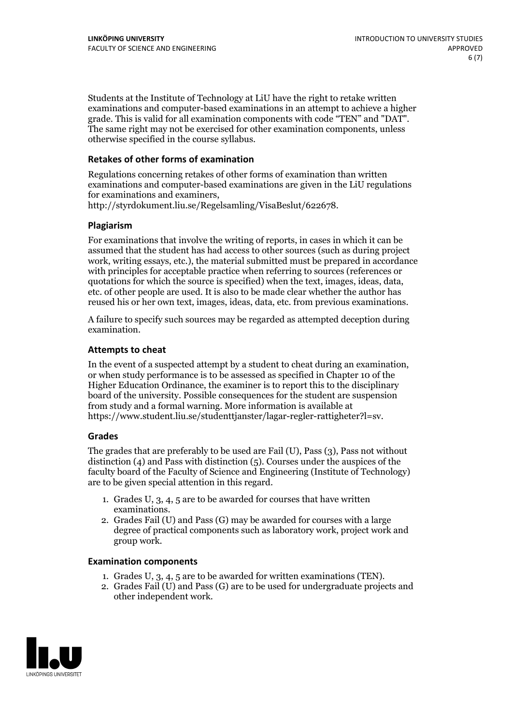Students at the Institute of Technology at LiU have the right to retake written examinations and computer-based examinations in an attempt to achieve a higher grade. This is valid for all examination components with code "TEN" and "DAT". The same right may not be exercised for other examination components, unless otherwise specified in the course syllabus.

#### **Retakes of other forms of examination**

Regulations concerning retakes of other forms of examination than written examinations and computer-based examinations are given in the LiU regulations for examinations and examiners, http://styrdokument.liu.se/Regelsamling/VisaBeslut/622678.

#### **Plagiarism**

For examinations that involve the writing of reports, in cases in which it can be assumed that the student has had access to other sources (such as during project work, writing essays, etc.), the material submitted must be prepared in accordance with principles for acceptable practice when referring to sources (references or quotations for which the source is specified) when the text, images, ideas, data, etc. of other people are used. It is also to be made clear whether the author has reused his or her own text, images, ideas, data, etc. from previous examinations.

A failure to specify such sources may be regarded as attempted deception during examination.

#### **Attempts to cheat**

In the event of <sup>a</sup> suspected attempt by <sup>a</sup> student to cheat during an examination, or when study performance is to be assessed as specified in Chapter <sup>10</sup> of the Higher Education Ordinance, the examiner is to report this to the disciplinary board of the university. Possible consequences for the student are suspension from study and a formal warning. More information is available at https://www.student.liu.se/studenttjanster/lagar-regler-rattigheter?l=sv.

#### **Grades**

The grades that are preferably to be used are Fail (U), Pass (3), Pass not without distinction  $(4)$  and Pass with distinction  $(5)$ . Courses under the auspices of the faculty board of the Faculty of Science and Engineering (Institute of Technology) are to be given special attention in this regard.

- 1. Grades U, 3, 4, 5 are to be awarded for courses that have written
- examinations. 2. Grades Fail (U) and Pass (G) may be awarded for courses with <sup>a</sup> large degree of practical components such as laboratory work, project work and group work.

#### **Examination components**

- 
- 1. Grades U, 3, 4, <sup>5</sup> are to be awarded for written examinations (TEN). 2. Grades Fail (U) and Pass (G) are to be used for undergraduate projects and other independent work.